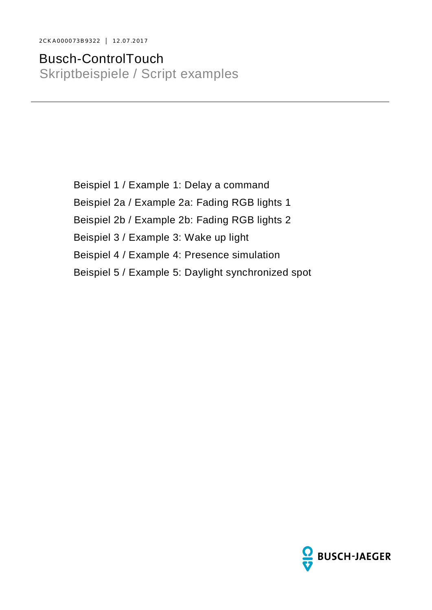2CKA000073B9322 │ 12.07.2017

Busch-ControlTouch Skriptbeispiele / Script examples

> Beispiel 1 / Example 1: Delay a command Beispiel 2a / Example 2a: Fading RGB lights 1 Beispiel 2b / Example 2b: Fading RGB lights 2 Beispiel 3 / Example 3: Wake up light Beispiel 4 / Example 4: Presence simulation Beispiel 5 / Example 5: Daylight synchronized spot

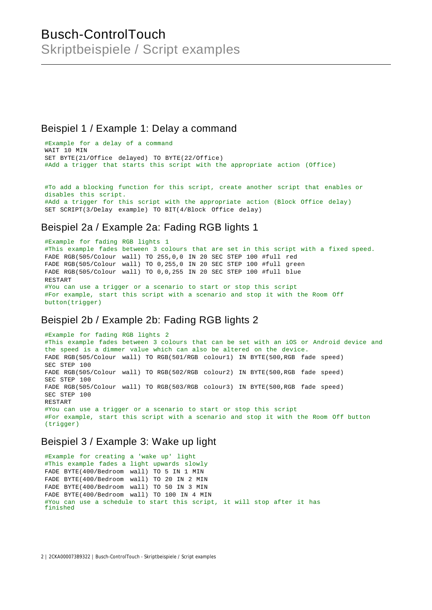## Busch-ControlTouch Skriptbeispiele / Script examples

#### Beispiel 1 / Example 1: Delay a command

#Example for a delay of a command WAIT 10 MIN SET BYTE(21/Office delayed) TO BYTE(22/Office) #Add a trigger that starts this script with the appropriate action (Office)

#To add a blocking function for this script, create another script that enables or disables this script. #Add a trigger for this script with the appropriate action (Block Office delay) SET SCRIPT(3/Delay example) TO BIT(4/Block Office delay)

#### Beispiel 2a / Example 2a: Fading RGB lights 1

```
#Example for fading RGB lights 1
#This example fades between 3 colours that are set in this script with a fixed speed.
FADE RGB(505/Colour wall) TO 255,0,0 IN 20 SEC STEP 100 #full red
FADE RGB(505/Colour wall) TO 0,255,0 IN 20 SEC STEP 100 #full green
FADE RGB(505/Colour wall) TO 0,0,255 IN 20 SEC STEP 100 #full blue
RESTART
#You can use a trigger or a scenario to start or stop this script
#For example, start this script with a scenario and stop it with the Room Off
button(trigger)
```
#### Beispiel 2b / Example 2b: Fading RGB lights 2

```
#Example for fading RGB lights 2
#This example fades between 3 colours that can be set with an iOS or Android device and
the speed is a dimmer value which can also be altered on the device.
FADE RGB(505/Colour wall) TO RGB(501/RGB colour1) IN BYTE(500,RGB fade speed)
SEC STEP 100
FADE RGB(505/Colour wall) TO RGB(502/RGB colour2) IN BYTE(500,RGB fade speed)
SEC STEP 100
FADE RGB(505/Colour wall) TO RGB(503/RGB colour3) IN BYTE(500,RGB fade speed)
SEC STEP 100
RESTART
#You can use a trigger or a scenario to start or stop this script
#For example, start this script with a scenario and stop it with the Room Off button
(trigger)
```
#### Beispiel 3 / Example 3: Wake up light

```
#Example for creating a 'wake up' light
#This example fades a light upwards slowly
FADE BYTE(400/Bedroom wall) TO 5 IN 1 MIN
FADE BYTE(400/Bedroom wall) TO 20 IN 2 MIN
FADE BYTE(400/Bedroom wall) TO 50 IN 3 MIN
FADE BYTE(400/Bedroom wall) TO 100 IN 4 MIN
#You can use a schedule to start this script, it will stop after it has
finished
```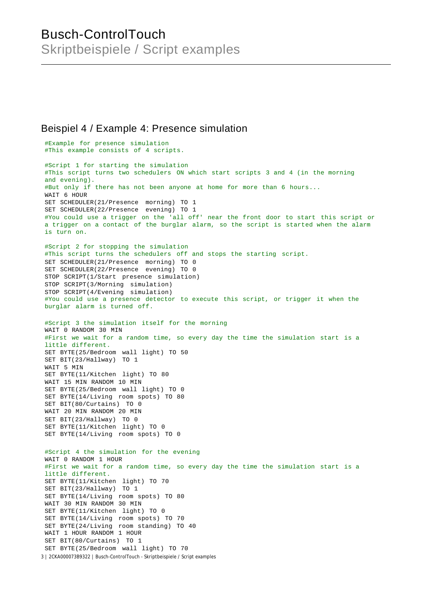# Busch-ControlTouch Skriptbeispiele / Script examples

#### Beispiel 4 / Example 4: Presence simulation

```
3 | 2CKA000073B9322 | Busch-ControlTouch - Skriptbeispiele / Script examples
 #Example for presence simulation
 #This example consists of 4 scripts.
 #Script 1 for starting the simulation
 #This script turns two schedulers ON which start scripts 3 and 4 (in the morning
 and evening).
 #But only if there has not been anyone at home for more than 6 hours...
 WAIT 6 HOUR
 SET SCHEDULER(21/Presence morning) TO 1
SET SCHEDULER(22/Presence evening) TO 1
 #You could use a trigger on the 'all off' near the front door to start this script or
 a trigger on a contact of the burglar alarm, so the script is started when the alarm
 is turn on.
 #Script 2 for stopping the simulation
 #This script turns the schedulers off and stops the starting script.
 SET SCHEDULER(21/Presence morning) TO 0
 SET SCHEDULER(22/Presence evening) TO 0
 STOP SCRIPT(1/Start presence simulation)
 STOP SCRIPT(3/Morning simulation)
 STOP SCRIPT(4/Evening simulation)
 #You could use a presence detector to execute this script, or trigger it when the
burglar alarm is turned off.
 #Script 3 the simulation itself for the morning
 WAIT 0 RANDOM 30 MIN
 #First we wait for a random time, so every day the time the simulation start is a
 little different.
 SET BYTE(25/Bedroom wall light) TO 50
 SET BIT(23/Hallway) TO 1
 WAIT 5 MIN
 SET BYTE(11/Kitchen light) TO 80
 WAIT 15 MIN RANDOM 10 MIN
 SET BYTE(25/Bedroom wall light) TO 0
 SET BYTE(14/Living room spots) TO 80
 SET BIT(80/Curtains) TO 0
WAIT 20 MIN RANDOM 20 MIN
 SET BIT(23/Hallway) TO 0
 SET BYTE(11/Kitchen light) TO 0
SET BYTE(14/Living room spots) TO 0
 #Script 4 the simulation for the evening
 WAIT 0 RANDOM 1 HOUR
 #First we wait for a random time, so every day the time the simulation start is a
 little different.
 SET BYTE(11/Kitchen light) TO 70
 SET BIT(23/Hallway) TO 1
 SET BYTE(14/Living room spots) TO 80
 WAIT 30 MIN RANDOM 30 MIN
 SET BYTE(11/Kitchen light) TO 0
 SET BYTE(14/Living room spots) TO 70
 SET BYTE(24/Living room standing) TO 40
 WAIT 1 HOUR RANDOM 1 HOUR
 SET BIT(80/Curtains) TO 1
 SET BYTE(25/Bedroom wall light) TO 70
```